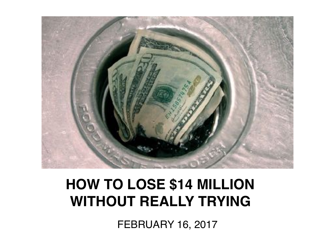

#### **HOW TO LOSE \$14 MILLION WITHOUT REALLY TRYING**

FEBRUARY 16, 2017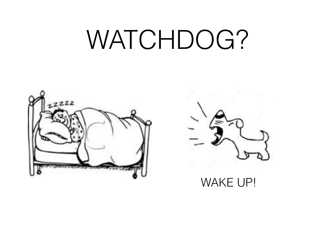## WATCHDOG?





WAKE UP!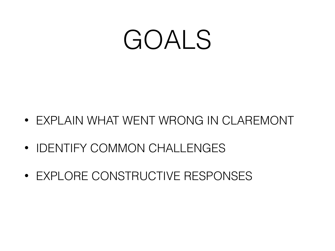## GOALS

- EXPLAIN WHAT WENT WRONG IN CLAREMONT
- IDENTIFY COMMON CHALLENGES
- EXPLORE CONSTRUCTIVE RESPONSES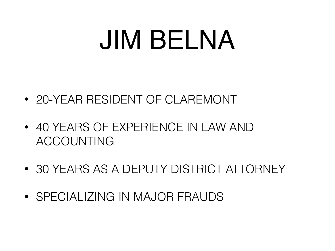## JIM BELNA

- 20-YEAR RESIDENT OF CLAREMONT
- 40 YEARS OF EXPERIENCE IN LAW AND ACCOUNTING
- 30 YEARS AS A DEPUTY DISTRICT ATTORNEY
- SPECIALIZING IN MAJOR FRAUDS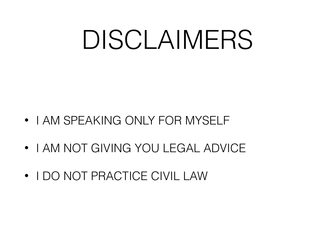## DISCLAIMERS

- I AM SPEAKING ONLY FOR MYSELF
- I AM NOT GIVING YOU LEGAL ADVICE
- I DO NOT PRACTICE CIVIL LAW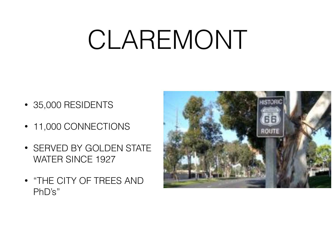## CLAREMONT

- 35,000 RESIDENTS
- 11,000 CONNECTIONS
- SERVED BY GOLDEN STATE WATER SINCE 1927
- "THE CITY OF TREES AND PhD's"

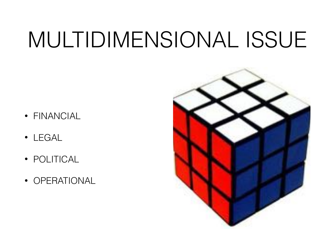### MULTIDIMENSIONAL ISSUE

- FINANCIAL
- LEGAL
- POLITICAL
- OPERATIONAL

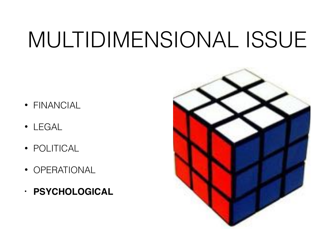### MULTIDIMENSIONAL ISSUE

- FINANCIAL
- LEGAL
- POLITICAL
- OPERATIONAL
- **PSYCHOLOGICAL**

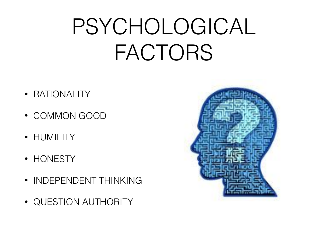### PSYCHOLOGICAL FACTORS

- RATIONALITY
- COMMON GOOD
- HUMILITY
- HONESTY
- INDEPENDENT THINKING
- QUESTION AUTHORITY

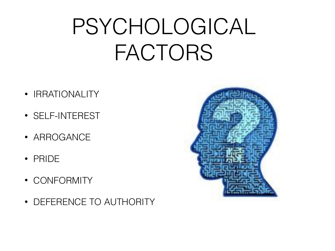### PSYCHOLOGICAL FACTORS

- IRRATIONALITY
- SELF-INTEREST
- ARROGANCE
- PRIDE
- CONFORMITY
- DEFERENCE TO AUTHORITY

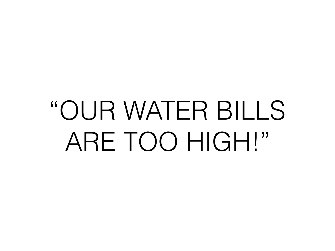# "OUR WATER BILLS ARE TOO HIGH!"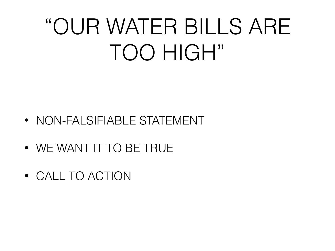### "OUR WATER BILLS ARE TOO HIGH"

- NON-FALSIFIABLE STATEMENT
- WE WANT IT TO BE TRUE
- CALL TO ACTION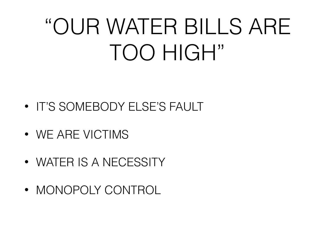### "OUR WATER BILLS ARE TOO HIGH"

- IT'S SOMEBODY ELSE'S FAULT
- WE ARE VICTIMS
- WATER IS A NECESSITY
- MONOPOLY CONTROL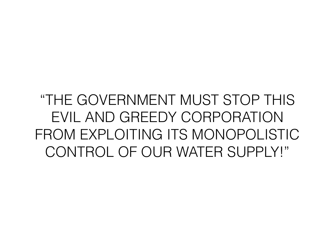#### "THE GOVERNMENT MUST STOP THIS EVIL AND GREEDY CORPORATION FROM EXPLOITING ITS MONOPOLISTIC CONTROL OF OUR WATER SUPPLY!"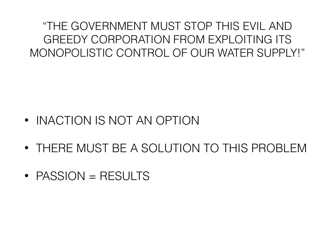"THE GOVERNMENT MUST STOP THIS EVIL AND GREEDY CORPORATION FROM EXPLOITING ITS MONOPOLISTIC CONTROL OF OUR WATER SUPPLY!"

- INACTION IS NOT AN OPTION
- THERE MUST BE A SOLUTION TO THIS PROBLEM
- PASSION = RESULTS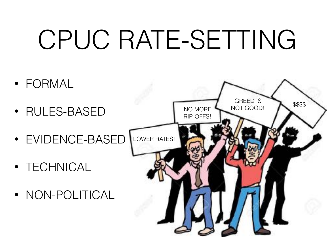# CPUC RATE-SETTING

- FORMAL
- RULES-BASED
- EVIDENCE-BASED
- TECHNICAL
- NON-POLITICAL

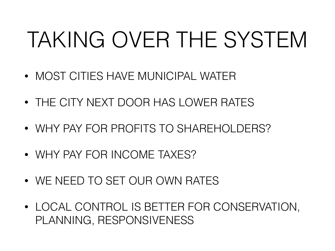### TAKING OVER THE SYSTEM

- MOST CITIES HAVE MUNICIPAL WATER
- THE CITY NEXT DOOR HAS LOWER RATES
- WHY PAY FOR PROFITS TO SHAREHOLDERS?
- WHY PAY FOR INCOME TAXES?
- WE NEED TO SET OUR OWN RATES
- LOCAL CONTROL IS BETTER FOR CONSERVATION, PLANNING, RESPONSIVENESS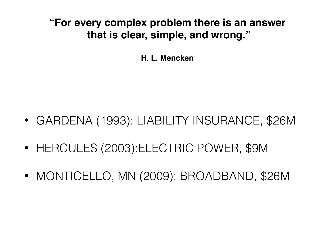**"For every complex problem there is an answer that is clear, simple, and wrong."** 

**H. L. Mencken**

- GARDENA (1993): LIABILITY INSURANCE, \$26M
- HERCULES (2003):ELECTRIC POWER, \$9M
- MONTICELLO, MN (2009): BROADBAND, \$26M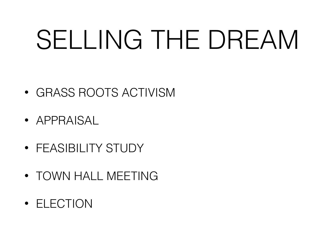# SELLING THE DREAM

- GRASS ROOTS ACTIVISM
- APPRAISAL
- FEASIBILITY STUDY
- TOWN HALL MEETING
- ELECTION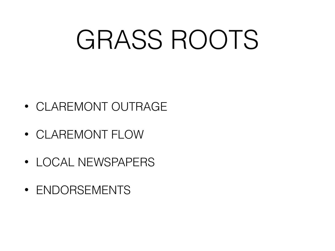## GRASS ROOTS

- CLAREMONT OUTRAGE
- CLAREMONT FLOW
- LOCAL NEWSPAPERS
- ENDORSEMENTS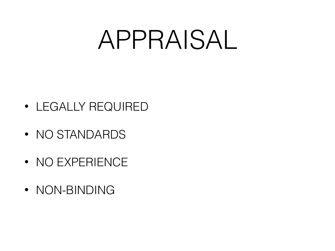## APPRAISAL

- LEGALLY REQUIRED
- NO STANDARDS
- NO EXPERIENCE
- NON-BINDING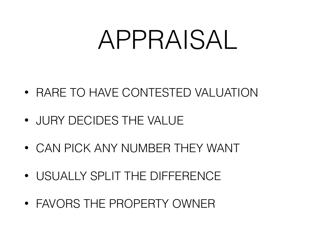## APPRAISAL

- RARE TO HAVE CONTESTED VALUATION
- JURY DECIDES THE VALUE
- CAN PICK ANY NUMBER THEY WANT
- USUALLY SPLIT THE DIFFERENCE
- FAVORS THE PROPERTY OWNER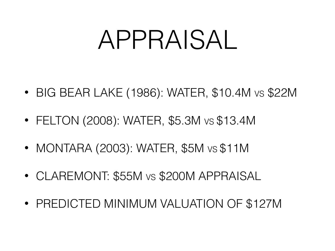## APPRAISAL

- BIG BEAR LAKE (1986): WATER, \$10.4M VS \$22M
- FELTON (2008): WATER, \$5.3M VS \$13.4M
- MONTARA (2003): WATER, \$5M vs \$11M
- CLAREMONT: \$55M VS \$200M APPRAISAL
- PREDICTED MINIMUM VALUATION OF \$127M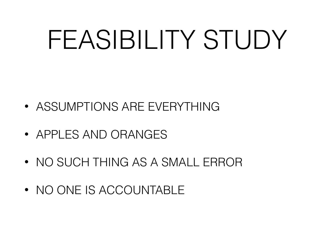## FEASIBILITY STUDY

- ASSUMPTIONS ARE EVERYTHING
- APPLES AND ORANGES
- NO SUCH THING AS A SMALL ERROR
- NO ONE IS ACCOUNTABLE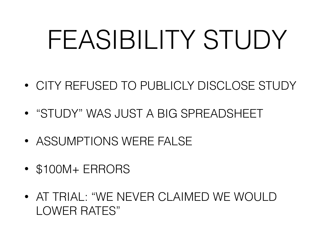# FEASIBILITY STUDY

- CITY REFUSED TO PUBLICLY DISCLOSE STUDY
- "STUDY" WAS JUST A BIG SPREADSHEET
- ASSUMPTIONS WERE FAILSE
- \$100M+ ERRORS
- AT TRIAL: "WE NEVER CLAIMED WE WOULD LOWER RATES"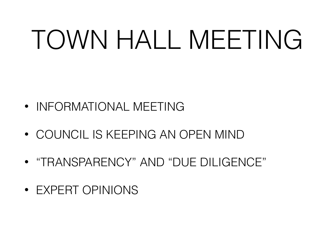# TOWN HALL MEETING

- INFORMATIONAL MEETING
- COUNCIL IS KEEPING AN OPEN MIND
- "TRANSPARENCY" AND "DUE DILIGENCE"
- EXPERT OPINIONS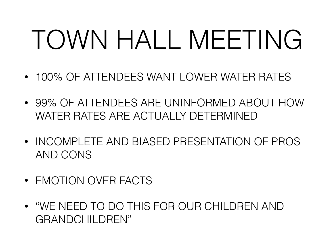# TOWN HALL MEETING

- 100% OF ATTENDEES WANT LOWER WATER RATES
- 99% OF ATTENDEES ARE UNINFORMED ABOUT HOW WATER RATES ARE ACTUALLY DETERMINED
- INCOMPLETE AND BIASED PRESENTATION OF PROS AND CONS
- EMOTION OVER FACTS
- "WE NEED TO DO THIS FOR OUR CHILDREN AND GRANDCHII DRFN"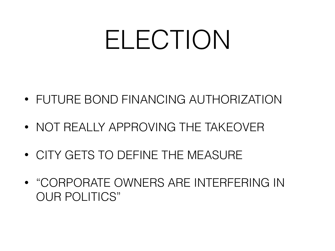## ELECTION

- FUTURE BOND FINANCING AUTHORIZATION
- NOT REALLY APPROVING THE TAKEOVER
- CITY GETS TO DEFINE THE MEASURE
- "CORPORATE OWNERS ARE INTERFERING IN OUR POLITICS"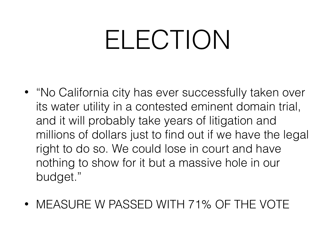## ELECTION

- "No California city has ever successfully taken over its water utility in a contested eminent domain trial, and it will probably take years of litigation and millions of dollars just to find out if we have the legal right to do so. We could lose in court and have nothing to show for it but a massive hole in our budget."
- MEASURE W PASSED WITH 71% OF THE VOTE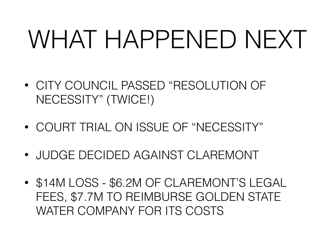## WHAT HAPPENED NEXT

- CITY COUNCIL PASSED "RESOLUTION OF NECESSITY" (TWICE!)
- COURT TRIAL ON ISSUE OF "NECESSITY"
- JUDGE DECIDED AGAINST CLAREMONT
- \$14M LOSS \$6.2M OF CLAREMONT'S LEGAL FEES, \$7.7M TO REIMBURSE GOLDEN STATE WATER COMPANY FOR ITS COSTS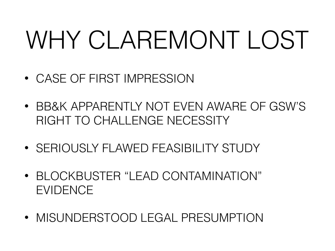## WHY CLAREMONT LOST

- CASE OF FIRST IMPRESSION
- BB&K APPARENTLY NOT EVEN AWARE OF GSW'S RIGHT TO CHALLENGE NECESSITY
- SERIOUSLY FLAWED FEASIBILITY STUDY
- BLOCKBUSTER "LEAD CONTAMINATION" EVIDENCE
- MISUNDERSTOOD LEGAL PRESUMPTION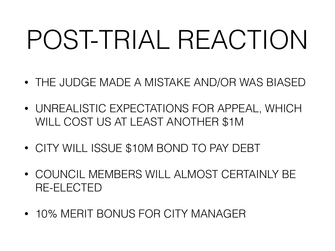# POST-TRIAL REACTION

- THE JUDGE MADE A MISTAKE AND/OR WAS BIASED
- UNREALISTIC EXPECTATIONS FOR APPEAL, WHICH WILL COST US AT LEAST ANOTHER \$1M
- CITY WILL ISSUE \$10M BOND TO PAY DEBT
- COUNCIL MEMBERS WILL ALMOST CERTAINLY BE RE-ELECTED
- 10% MERIT BONUS FOR CITY MANAGER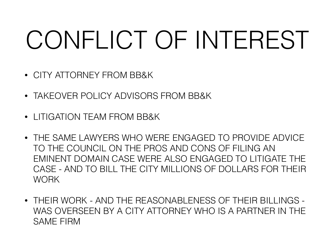## CONFLICT OF INTEREST

- CITY ATTORNEY FROM BB&K
- TAKEOVER POLICY ADVISORS FROM BB&K
- LITIGATION TEAM FROM BB&K
- THE SAME LAWYERS WHO WERE ENGAGED TO PROVIDE ADVICE TO THE COUNCIL ON THE PROS AND CONS OF FILING AN EMINENT DOMAIN CASE WERE ALSO ENGAGED TO LITIGATE THE CASE - AND TO BILL THE CITY MILLIONS OF DOLLARS FOR THEIR **WORK**
- THEIR WORK AND THE REASONABLENESS OF THEIR BILLINGS WAS OVERSEEN BY A CITY ATTORNEY WHO IS A PARTNER IN THE SAME FIRM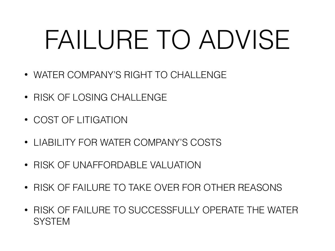# FAILURE TO ADVISE

- WATER COMPANY'S RIGHT TO CHALLENGE
- RISK OF LOSING CHALLENGE
- COST OF LITIGATION
- LIABILITY FOR WATER COMPANY'S COSTS
- RISK OF UNAFFORDABLE VALUATION
- RISK OF FAILURE TO TAKE OVER FOR OTHER REASONS
- RISK OF FAILURE TO SUCCESSFULLY OPERATE THE WATER **SYSTEM**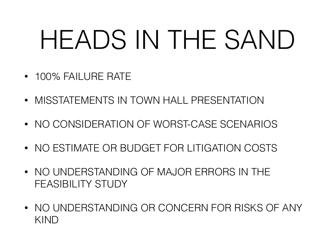# HEADS IN THE SAND

- 100% FAILURE RATE
- MISSTATEMENTS IN TOWN HALL PRESENTATION
- NO CONSIDERATION OF WORST-CASE SCENARIOS
- NO ESTIMATE OR BUDGET FOR LITIGATION COSTS
- NO UNDERSTANDING OF MAJOR ERRORS IN THE FEASIBILITY STUDY
- NO UNDERSTANDING OR CONCERN FOR RISKS OF ANY KIND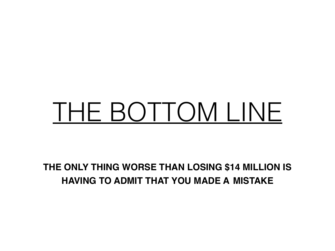## THE BOTTOM LINE

**THE ONLY THING WORSE THAN LOSING \$14 MILLION IS HAVING TO ADMIT THAT YOU MADE A MISTAKE**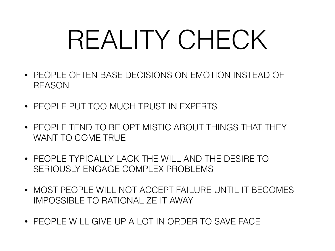## REALITY CHECK

- PEOPLE OFTEN BASE DECISIONS ON EMOTION INSTEAD OF REASON
- PEOPLE PUT TOO MUCH TRUST IN EXPERTS
- PEOPLE TEND TO BE OPTIMISTIC ABOUT THINGS THAT THEY WANT TO COME TRUE
- PEOPLE TYPICALLY LACK THE WILL AND THE DESIRE TO SERIOUSLY ENGAGE COMPLEX PROBLEMS
- MOST PEOPLE WILL NOT ACCEPT FAILURE UNTIL IT BECOMES IMPOSSIBLE TO RATIONALIZE IT AWAY
- PEOPLE WILL GIVE UP A LOT IN ORDER TO SAVE FACE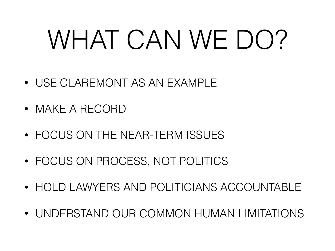# WHAT CAN WE DO?

- USE CLAREMONT AS AN EXAMPLE
- MAKE A RECORD
- FOCUS ON THE NEAR-TERM ISSUES
- FOCUS ON PROCESS, NOT POLITICS
- HOLD LAWYERS AND POLITICIANS ACCOUNTABLE
- UNDERSTAND OUR COMMON HUMAN LIMITATIONS